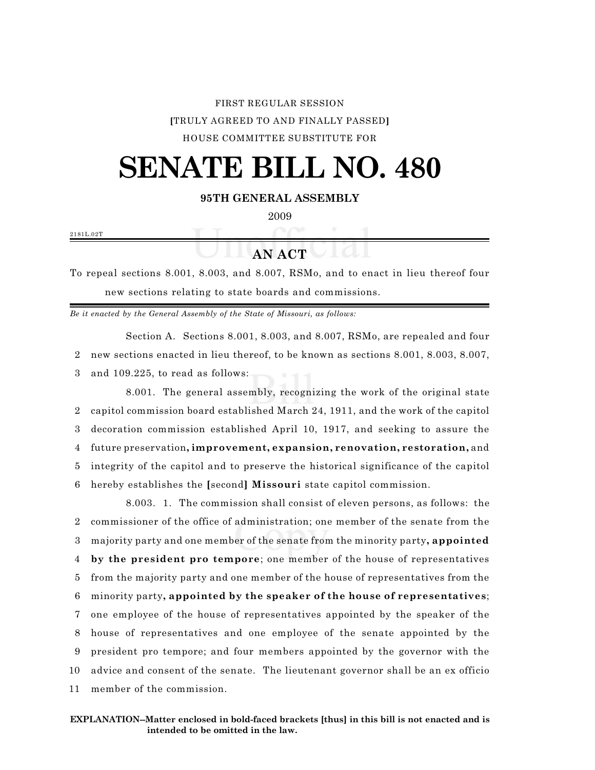## FIRST REGULAR SESSION **[**TRULY AGREED TO AND FINALLY PASSED**]** HOUSE COMMITTEE SUBSTITUTE FOR

## **SENATE BILL NO. 480**

**95TH GENERAL ASSEMBLY**

2009

2181L.02T

**AN ACT**

To repeal sections 8.001, 8.003, and 8.007, RSMo, and to enact in lieu thereof four new sections relating to state boards and commissions.

*Be it enacted by the General Assembly of the State of Missouri, as follows:*

Section A. Sections 8.001, 8.003, and 8.007, RSMo, are repealed and four 2 new sections enacted in lieu thereof, to be known as sections 8.001, 8.003, 8.007, 3 and 109.225, to read as follows:

8.001. The general assembly, recognizing the work of the original state capitol commission board established March 24, 1911, and the work of the capitol decoration commission established April 10, 1917, and seeking to assure the future preservation**, improvement, expansion, renovation, restoration,** and integrity of the capitol and to preserve the historical significance of the capitol hereby establishes the **[**second**] Missouri** state capitol commission.

8.003. 1. The commission shall consist of eleven persons, as follows: the commissioner of the office of administration; one member of the senate from the majority party and one member of the senate from the minority party**, appointed by the president pro tempore**; one member of the house of representatives from the majority party and one member of the house of representatives from the minority party**, appointed by the speaker of the house of representatives**; one employee of the house of representatives appointed by the speaker of the house of representatives and one employee of the senate appointed by the president pro tempore; and four members appointed by the governor with the advice and consent of the senate. The lieutenant governor shall be an ex officio member of the commission.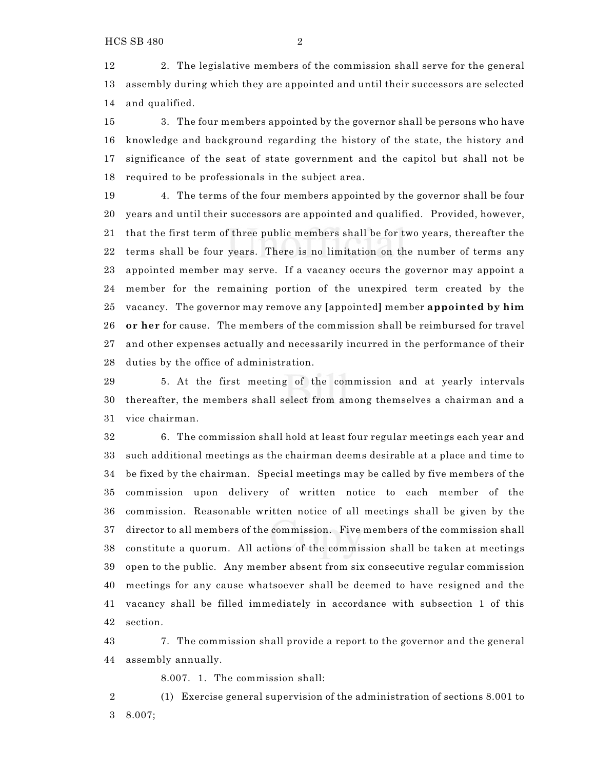2. The legislative members of the commission shall serve for the general assembly during which they are appointed and until their successors are selected and qualified.

 3. The four members appointed by the governor shall be persons who have knowledge and background regarding the history of the state, the history and significance of the seat of state government and the capitol but shall not be required to be professionals in the subject area.

 4. The terms of the four members appointed by the governor shall be four years and until their successors are appointed and qualified. Provided, however, that the first term of three public members shall be for two years, thereafter the terms shall be four years. There is no limitation on the number of terms any appointed member may serve. If a vacancy occurs the governor may appoint a member for the remaining portion of the unexpired term created by the vacancy. The governor may remove any **[**appointed**]** member **appointed by him or her** for cause. The members of the commission shall be reimbursed for travel and other expenses actually and necessarily incurred in the performance of their duties by the office of administration.

 5. At the first meeting of the commission and at yearly intervals thereafter, the members shall select from among themselves a chairman and a vice chairman.

 6. The commission shall hold at least four regular meetings each year and such additional meetings as the chairman deems desirable at a place and time to be fixed by the chairman. Special meetings may be called by five members of the commission upon delivery of written notice to each member of the commission. Reasonable written notice of all meetings shall be given by the director to all members of the commission. Five members of the commission shall constitute a quorum. All actions of the commission shall be taken at meetings open to the public. Any member absent from six consecutive regular commission meetings for any cause whatsoever shall be deemed to have resigned and the vacancy shall be filled immediately in accordance with subsection 1 of this section.

 7. The commission shall provide a report to the governor and the general assembly annually.

8.007. 1. The commission shall:

 (1) Exercise general supervision of the administration of sections 8.001 to 8.007;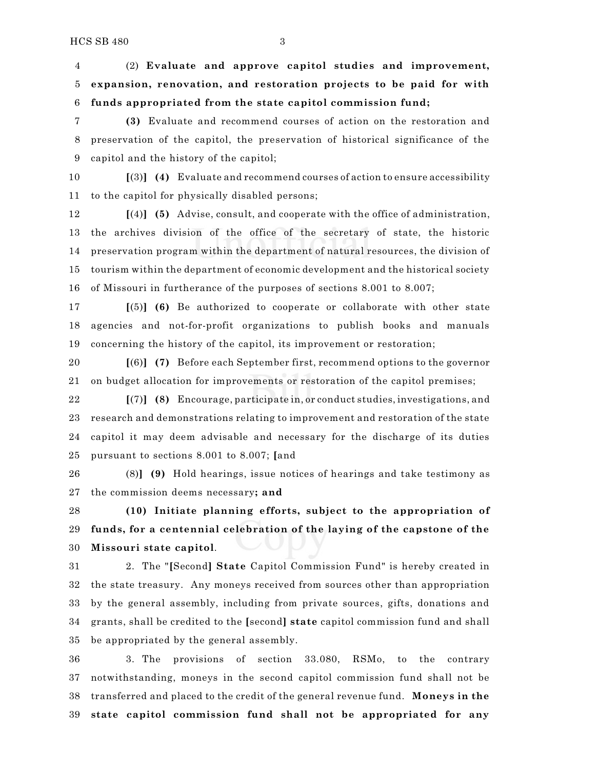(2) **Evaluate and approve capitol studies and improvement, expansion, renovation, and restoration projects to be paid for with funds appropriated from the state capitol commission fund;**

 **(3)** Evaluate and recommend courses of action on the restoration and preservation of the capitol, the preservation of historical significance of the capitol and the history of the capitol;

 **[**(3)**] (4)** Evaluate and recommend courses of action to ensure accessibility to the capitol for physically disabled persons;

 **[**(4)**] (5)** Advise, consult, and cooperate with the office of administration, the archives division of the office of the secretary of state, the historic preservation program within the department of natural resources, the division of tourism within the department of economic development and the historical society of Missouri in furtherance of the purposes of sections 8.001 to 8.007;

 **[**(5)**] (6)** Be authorized to cooperate or collaborate with other state agencies and not-for-profit organizations to publish books and manuals concerning the history of the capitol, its improvement or restoration;

 **[**(6)**] (7)** Before each September first, recommend options to the governor on budget allocation for improvements or restoration of the capitol premises;

 **[**(7)**] (8)** Encourage, participate in, or conduct studies, investigations, and research and demonstrations relating to improvement and restoration of the state capitol it may deem advisable and necessary for the discharge of its duties pursuant to sections 8.001 to 8.007; **[**and

 (8)**] (9)** Hold hearings, issue notices of hearings and take testimony as the commission deems necessary**; and**

 **(10) Initiate planning efforts, subject to the appropriation of funds, for a centennial celebration of the laying of the capstone of the Missouri state capitol**.

 2. The "**[**Second**] State** Capitol Commission Fund" is hereby created in the state treasury. Any moneys received from sources other than appropriation by the general assembly, including from private sources, gifts, donations and grants, shall be credited to the **[**second**] state** capitol commission fund and shall be appropriated by the general assembly.

 3. The provisions of section 33.080, RSMo, to the contrary notwithstanding, moneys in the second capitol commission fund shall not be transferred and placed to the credit of the general revenue fund. **Moneys in the state capitol commission fund shall not be appropriated for any**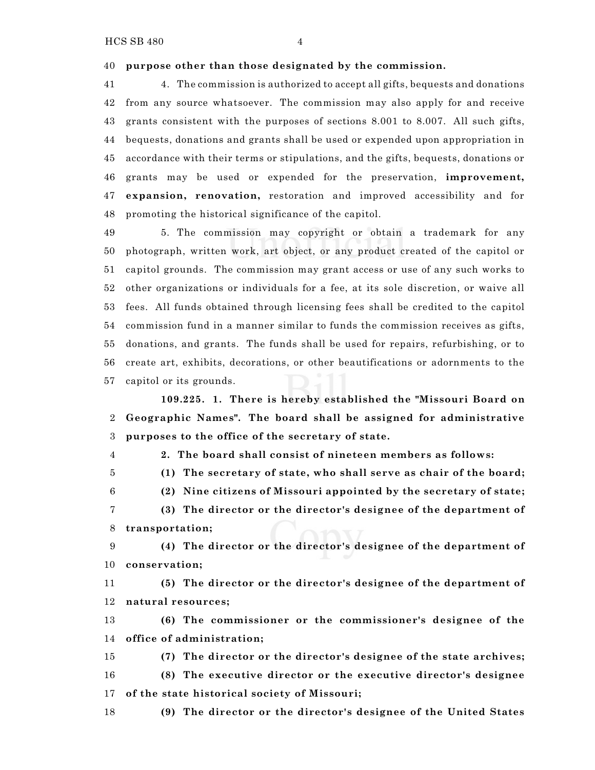**purpose other than those designated by the commission.**

 4. The commission is authorized to accept all gifts, bequests and donations from any source whatsoever. The commission may also apply for and receive grants consistent with the purposes of sections 8.001 to 8.007. All such gifts, bequests, donations and grants shall be used or expended upon appropriation in accordance with their terms or stipulations, and the gifts, bequests, donations or grants may be used or expended for the preservation, **improvement, expansion, renovation,** restoration and improved accessibility and for promoting the historical significance of the capitol.

 5. The commission may copyright or obtain a trademark for any photograph, written work, art object, or any product created of the capitol or capitol grounds. The commission may grant access or use of any such works to other organizations or individuals for a fee, at its sole discretion, or waive all fees. All funds obtained through licensing fees shall be credited to the capitol commission fund in a manner similar to funds the commission receives as gifts, donations, and grants. The funds shall be used for repairs, refurbishing, or to create art, exhibits, decorations, or other beautifications or adornments to the capitol or its grounds.

**109.225. 1. There is hereby established the "Missouri Board on Geographic Names". The board shall be assigned for administrative purposes to the office of the secretary of state.**

- **2. The board shall consist of nineteen members as follows:**
- **(1) The secretary of state, who shall serve as chair of the board;**
- **(2) Nine citizens of Missouri appointed by the secretary of state;**
- **(3) The director or the director's designee of the department of transportation;**

 **(4) The director or the director's designee of the department of conservation;**

 **(5) The director or the director's designee of the department of natural resources;**

 **(6) The commissioner or the commissioner's designee of the office of administration;**

 **(7) The director or the director's designee of the state archives; (8) The executive director or the executive director's designee of the state historical society of Missouri;**

**(9) The director or the director's designee of the United States**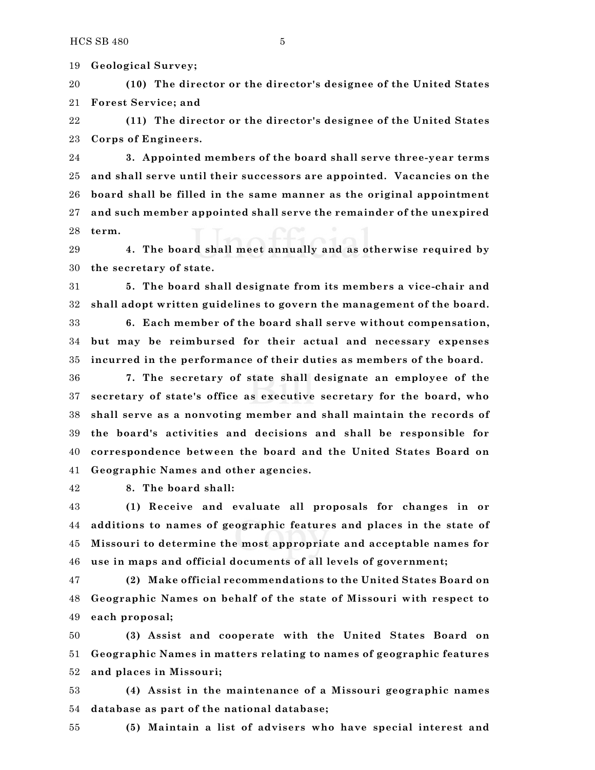**Geological Survey;**

 **(10) The director or the director's designee of the United States Forest Service; and**

 **(11) The director or the director's designee of the United States Corps of Engineers.**

 **3. Appointed members of the board shall serve three-year terms and shall serve until their successors are appointed. Vacancies on the board shall be filled in the same manner as the original appointment and such member appointed shall serve the remainder of the unexpired term.**

 **4. The board shall meet annually and as otherwise required by the secretary of state.**

 **5. The board shall designate from its members a vice-chair and shall adopt written guidelines to govern the management of the board.**

 **6. Each member of the board shall serve without compensation, but may be reimbursed for their actual and necessary expenses incurred in the performance of their duties as members of the board.**

 **7. The secretary of state shall designate an employee of the secretary of state's office as executive secretary for the board, who shall serve as a nonvoting member and shall maintain the records of the board's activities and decisions and shall be responsible for correspondence between the board and the United States Board on Geographic Names and other agencies.**

**8. The board shall:**

 **(1) Receive and evaluate all proposals for changes in or additions to names of geographic features and places in the state of Missouri to determine the most appropriate and acceptable names for use in maps and official documents of all levels of government;**

 **(2) Make official recommendations to the United States Board on Geographic Names on behalf of the state of Missouri with respect to each proposal;**

 **(3) Assist and cooperate with the United States Board on Geographic Names in matters relating to names of geographic features and places in Missouri;**

 **(4) Assist in the maintenance of a Missouri geographic names database as part of the national database;**

**(5) Maintain a list of advisers who have special interest and**